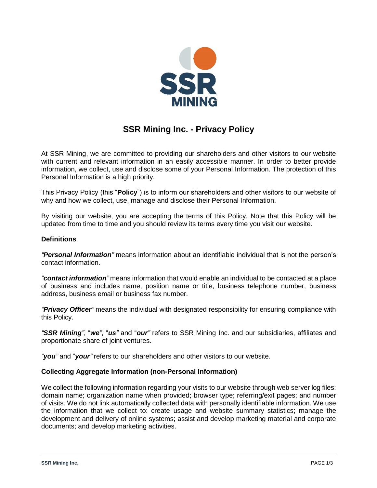

# **SSR Mining Inc. - Privacy Policy**

At SSR Mining, we are committed to providing our shareholders and other visitors to our website with current and relevant information in an easily accessible manner. In order to better provide information, we collect, use and disclose some of your Personal Information. The protection of this Personal Information is a high priority.

This Privacy Policy (this "**Policy**") is to inform our shareholders and other visitors to our website of why and how we collect, use, manage and disclose their Personal Information.

By visiting our website, you are accepting the terms of this Policy. Note that this Policy will be updated from time to time and you should review its terms every time you visit our website.

## **Definitions**

*"Personal Information"* means information about an identifiable individual that is not the person's contact information.

*"contact information"* means information that would enable an individual to be contacted at a place of business and includes name, position name or title, business telephone number, business address, business email or business fax number.

*"Privacy Officer"* means the individual with designated responsibility for ensuring compliance with this Policy.

*"SSR Mining"*, "*we"*, "*us"* and "*our"* refers to SSR Mining Inc. and our subsidiaries, affiliates and proportionate share of joint ventures.

*"you"* and "*your"* refers to our shareholders and other visitors to our website.

#### **Collecting Aggregate Information (non-Personal Information)**

We collect the following information regarding your visits to our website through web server log files: domain name; organization name when provided; browser type; referring/exit pages; and number of visits. We do not link automatically collected data with personally identifiable information. We use the information that we collect to: create usage and website summary statistics; manage the development and delivery of online systems; assist and develop marketing material and corporate documents; and develop marketing activities.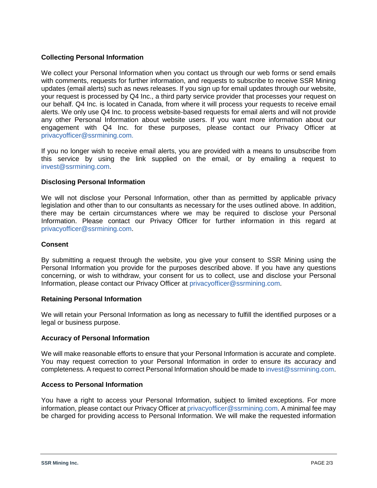# **Collecting Personal Information**

We collect your Personal Information when you contact us through our web forms or send emails with comments, requests for further information, and requests to subscribe to receive SSR Mining updates (email alerts) such as news releases. If you sign up for email updates through our website, your request is processed by Q4 Inc., a third party service provider that processes your request on our behalf. Q4 Inc. is located in Canada, from where it will process your requests to receive email alerts. We only use Q4 Inc. to process website-based requests for email alerts and will not provide any other Personal Information about website users. If you want more information about our engagement with Q4 Inc. for these purposes, please contact our Privacy Officer at privacyofficer@ssrmining.com.

If you no longer wish to receive email alerts, you are provided with a means to unsubscribe from this service by using the link supplied on the email, or by emailing a request to invest@ssrmining.com.

## **Disclosing Personal Information**

We will not disclose your Personal Information, other than as permitted by applicable privacy legislation and other than to our consultants as necessary for the uses outlined above. In addition, there may be certain circumstances where we may be required to disclose your Personal Information. Please contact our Privacy Officer for further information in this regard at privacyofficer@ssrmining.com.

#### **Consent**

By submitting a request through the website, you give your consent to SSR Mining using the Personal Information you provide for the purposes described above. If you have any questions concerning, or wish to withdraw, your consent for us to collect, use and disclose your Personal Information, please contact our Privacy Officer at privacyofficer@ssrmining.com.

#### **Retaining Personal Information**

We will retain your Personal Information as long as necessary to fulfill the identified purposes or a legal or business purpose.

#### **Accuracy of Personal Information**

We will make reasonable efforts to ensure that your Personal Information is accurate and complete. You may request correction to your Personal Information in order to ensure its accuracy and completeness. A request to correct Personal Information should be made to invest@ssrmining.com.

#### **Access to Personal Information**

You have a right to access your Personal Information, subject to limited exceptions. For more information, please contact our Privacy Officer at privacyofficer@ssrmining.com. A minimal fee may be charged for providing access to Personal Information. We will make the requested information